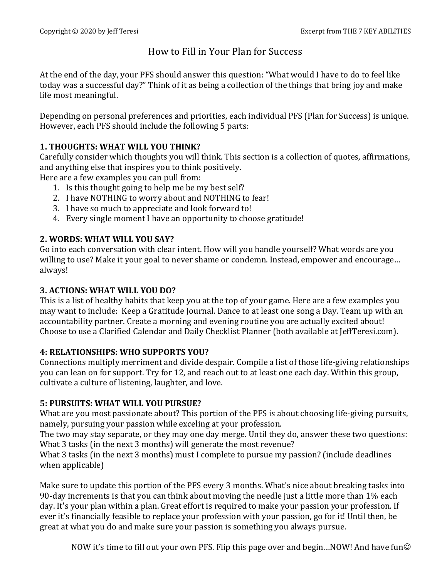# How to Fill in Your Plan for Success

At the end of the day, your PFS should answer this question: "What would I have to do to feel like today was a successful day?" Think of it as being a collection of the things that bring joy and make life most meaningful.

Depending on personal preferences and priorities, each individual PFS (Plan for Success) is unique. However, each PFS should include the following 5 parts:

### **1. THOUGHTS: WHAT WILL YOU THINK?**

Carefully consider which thoughts you will think. This section is a collection of quotes, affirmations, and anything else that inspires you to think positively.

Here are a few examples you can pull from:

- 1. Is this thought going to help me be my best self?
- 2. I have NOTHING to worry about and NOTHING to fear!
- 3. I have so much to appreciate and look forward to!
- 4. Every single moment I have an opportunity to choose gratitude!

### **2. WORDS: WHAT WILL YOU SAY?**

Go into each conversation with clear intent. How will you handle yourself? What words are you willing to use? Make it your goal to never shame or condemn. Instead, empower and encourage... always!

## **3. ACTIONS: WHAT WILL YOU DO?**

This is a list of healthy habits that keep you at the top of your game. Here are a few examples you may want to include: Keep a Gratitude Journal. Dance to at least one song a Day. Team up with an accountability partner. Create a morning and evening routine you are actually excited about! Choose to use a Clarified Calendar and Daily Checklist Planner (both available at JeffTeresi.com).

#### **4: RELATIONSHIPS: WHO SUPPORTS YOU?**

Connections multiply merriment and divide despair. Compile a list of those life-giving relationships you can lean on for support. Try for 12, and reach out to at least one each day. Within this group, cultivate a culture of listening, laughter, and love.

#### **5: PURSUITS: WHAT WILL YOU PURSUE?**

What are you most passionate about? This portion of the PFS is about choosing life-giving pursuits, namely, pursuing your passion while exceling at your profession.

The two may stay separate, or they may one day merge. Until they do, answer these two questions: What 3 tasks (in the next 3 months) will generate the most revenue?

What 3 tasks (in the next 3 months) must I complete to pursue my passion? (include deadlines when applicable)

Make sure to update this portion of the PFS every 3 months. What's nice about breaking tasks into 90-day increments is that you can think about moving the needle just a little more than 1% each day. It's your plan within a plan. Great effort is required to make your passion your profession. If ever it's financially feasible to replace your profession with your passion, go for it! Until then, be great at what you do and make sure your passion is something you always pursue.

NOW it's time to fill out your own PFS. Flip this page over and begin...NOW! And have fun $\odot$